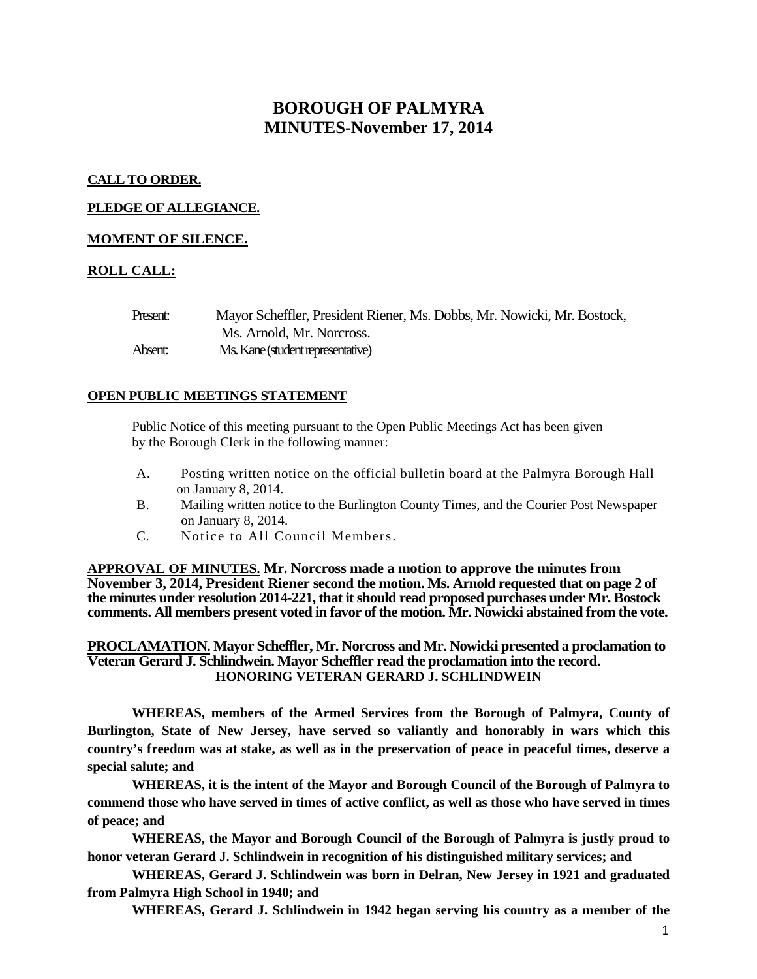# **BOROUGH OF PALMYRA MINUTES-November 17, 2014**

## **CALL TO ORDER.**

# **PLEDGE OF ALLEGIANCE.**

# **MOMENT OF SILENCE.**

# **ROLL CALL:**

| Present: | Mayor Scheffler, President Riener, Ms. Dobbs, Mr. Nowicki, Mr. Bostock, |
|----------|-------------------------------------------------------------------------|
|          | Ms. Arnold, Mr. Norcross.                                               |
| Absent:  | Ms. Kane (student representative)                                       |

## **OPEN PUBLIC MEETINGS STATEMENT**

Public Notice of this meeting pursuant to the Open Public Meetings Act has been given by the Borough Clerk in the following manner:

- A. Posting written notice on the official bulletin board at the Palmyra Borough Hall on January 8, 2014.
- B. Mailing written notice to the Burlington County Times, and the Courier Post Newspaper on January 8, 2014.
- C. Notice to All Council Members.

**APPROVAL OF MINUTES. Mr. Norcross made a motion to approve the minutes from November 3, 2014, President Riener second the motion. Ms. Arnold requested that on page 2 of the minutes under resolution 2014-221, that it should read proposed purchases under Mr. Bostock comments. All members present voted in favor of the motion. Mr. Nowicki abstained from the vote.** 

**PROCLAMATION. Mayor Scheffler, Mr. Norcross and Mr. Nowicki presented a proclamation to Veteran Gerard J. Schlindwein. Mayor Scheffler read the proclamation into the record. HONORING VETERAN GERARD J. SCHLINDWEIN**

**WHEREAS, members of the Armed Services from the Borough of Palmyra, County of Burlington, State of New Jersey, have served so valiantly and honorably in wars which this country's freedom was at stake, as well as in the preservation of peace in peaceful times, deserve a special salute; and**

**WHEREAS, it is the intent of the Mayor and Borough Council of the Borough of Palmyra to commend those who have served in times of active conflict, as well as those who have served in times of peace; and**

**WHEREAS, the Mayor and Borough Council of the Borough of Palmyra is justly proud to honor veteran Gerard J. Schlindwein in recognition of his distinguished military services; and**

**WHEREAS, Gerard J. Schlindwein was born in Delran, New Jersey in 1921 and graduated from Palmyra High School in 1940; and**

**WHEREAS, Gerard J. Schlindwein in 1942 began serving his country as a member of the**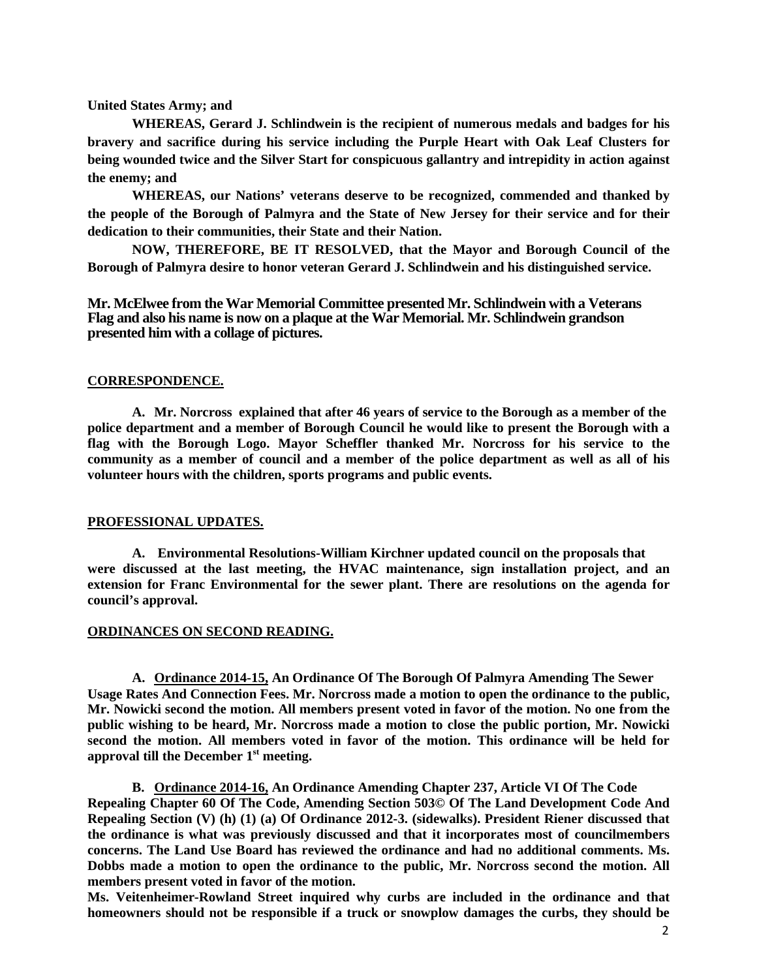**United States Army; and**

**WHEREAS, Gerard J. Schlindwein is the recipient of numerous medals and badges for his bravery and sacrifice during his service including the Purple Heart with Oak Leaf Clusters for being wounded twice and the Silver Start for conspicuous gallantry and intrepidity in action against the enemy; and**

**WHEREAS, our Nations' veterans deserve to be recognized, commended and thanked by the people of the Borough of Palmyra and the State of New Jersey for their service and for their dedication to their communities, their State and their Nation.** 

**NOW, THEREFORE, BE IT RESOLVED, that the Mayor and Borough Council of the Borough of Palmyra desire to honor veteran Gerard J. Schlindwein and his distinguished service.**

**Mr. McElwee from the War Memorial Committee presented Mr. Schlindwein with a Veterans Flag and also his name is now on a plaque at the War Memorial. Mr. Schlindwein grandson presented him with a collage of pictures.** 

## **CORRESPONDENCE.**

**A. Mr. Norcross explained that after 46 years of service to the Borough as a member of the police department and a member of Borough Council he would like to present the Borough with a flag with the Borough Logo. Mayor Scheffler thanked Mr. Norcross for his service to the community as a member of council and a member of the police department as well as all of his volunteer hours with the children, sports programs and public events.** 

#### **PROFESSIONAL UPDATES.**

**A. Environmental Resolutions-William Kirchner updated council on the proposals that were discussed at the last meeting, the HVAC maintenance, sign installation project, and an extension for Franc Environmental for the sewer plant. There are resolutions on the agenda for council's approval.** 

## **ORDINANCES ON SECOND READING.**

**A. Ordinance 2014-15, An Ordinance Of The Borough Of Palmyra Amending The Sewer Usage Rates And Connection Fees. Mr. Norcross made a motion to open the ordinance to the public, Mr. Nowicki second the motion. All members present voted in favor of the motion. No one from the public wishing to be heard, Mr. Norcross made a motion to close the public portion, Mr. Nowicki second the motion. All members voted in favor of the motion. This ordinance will be held for approval till the December 1st meeting.** 

**B. Ordinance 2014-16, An Ordinance Amending Chapter 237, Article VI Of The Code Repealing Chapter 60 Of The Code, Amending Section 503© Of The Land Development Code And Repealing Section (V) (h) (1) (a) Of Ordinance 2012-3. (sidewalks). President Riener discussed that the ordinance is what was previously discussed and that it incorporates most of councilmembers concerns. The Land Use Board has reviewed the ordinance and had no additional comments. Ms. Dobbs made a motion to open the ordinance to the public, Mr. Norcross second the motion. All members present voted in favor of the motion.** 

**Ms. Veitenheimer-Rowland Street inquired why curbs are included in the ordinance and that homeowners should not be responsible if a truck or snowplow damages the curbs, they should be**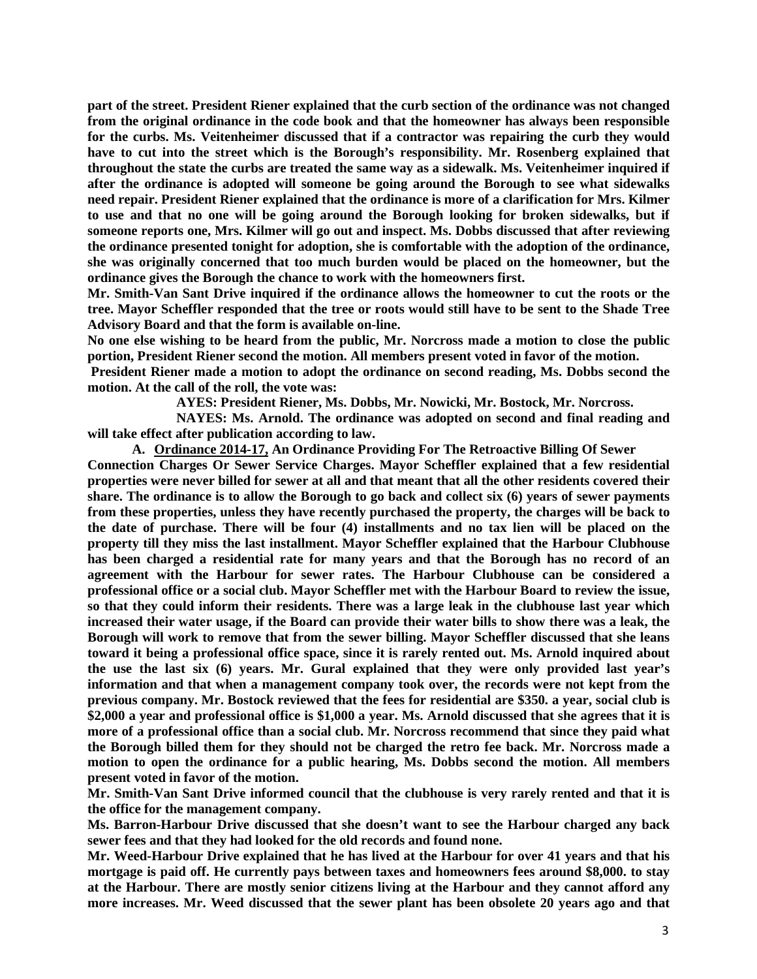**part of the street. President Riener explained that the curb section of the ordinance was not changed from the original ordinance in the code book and that the homeowner has always been responsible for the curbs. Ms. Veitenheimer discussed that if a contractor was repairing the curb they would have to cut into the street which is the Borough's responsibility. Mr. Rosenberg explained that throughout the state the curbs are treated the same way as a sidewalk. Ms. Veitenheimer inquired if after the ordinance is adopted will someone be going around the Borough to see what sidewalks need repair. President Riener explained that the ordinance is more of a clarification for Mrs. Kilmer to use and that no one will be going around the Borough looking for broken sidewalks, but if someone reports one, Mrs. Kilmer will go out and inspect. Ms. Dobbs discussed that after reviewing the ordinance presented tonight for adoption, she is comfortable with the adoption of the ordinance, she was originally concerned that too much burden would be placed on the homeowner, but the ordinance gives the Borough the chance to work with the homeowners first.** 

**Mr. Smith-Van Sant Drive inquired if the ordinance allows the homeowner to cut the roots or the tree. Mayor Scheffler responded that the tree or roots would still have to be sent to the Shade Tree Advisory Board and that the form is available on-line.** 

**No one else wishing to be heard from the public, Mr. Norcross made a motion to close the public portion, President Riener second the motion. All members present voted in favor of the motion.** 

**President Riener made a motion to adopt the ordinance on second reading, Ms. Dobbs second the motion. At the call of the roll, the vote was:**

**AYES: President Riener, Ms. Dobbs, Mr. Nowicki, Mr. Bostock, Mr. Norcross.**

**NAYES: Ms. Arnold. The ordinance was adopted on second and final reading and will take effect after publication according to law.** 

**A. Ordinance 2014-17, An Ordinance Providing For The Retroactive Billing Of Sewer Connection Charges Or Sewer Service Charges. Mayor Scheffler explained that a few residential properties were never billed for sewer at all and that meant that all the other residents covered their share. The ordinance is to allow the Borough to go back and collect six (6) years of sewer payments from these properties, unless they have recently purchased the property, the charges will be back to the date of purchase. There will be four (4) installments and no tax lien will be placed on the property till they miss the last installment. Mayor Scheffler explained that the Harbour Clubhouse has been charged a residential rate for many years and that the Borough has no record of an agreement with the Harbour for sewer rates. The Harbour Clubhouse can be considered a professional office or a social club. Mayor Scheffler met with the Harbour Board to review the issue, so that they could inform their residents. There was a large leak in the clubhouse last year which increased their water usage, if the Board can provide their water bills to show there was a leak, the Borough will work to remove that from the sewer billing. Mayor Scheffler discussed that she leans toward it being a professional office space, since it is rarely rented out. Ms. Arnold inquired about the use the last six (6) years. Mr. Gural explained that they were only provided last year's information and that when a management company took over, the records were not kept from the previous company. Mr. Bostock reviewed that the fees for residential are \$350. a year, social club is \$2,000 a year and professional office is \$1,000 a year. Ms. Arnold discussed that she agrees that it is more of a professional office than a social club. Mr. Norcross recommend that since they paid what the Borough billed them for they should not be charged the retro fee back. Mr. Norcross made a motion to open the ordinance for a public hearing, Ms. Dobbs second the motion. All members present voted in favor of the motion.** 

**Mr. Smith-Van Sant Drive informed council that the clubhouse is very rarely rented and that it is the office for the management company.** 

**Ms. Barron-Harbour Drive discussed that she doesn't want to see the Harbour charged any back sewer fees and that they had looked for the old records and found none.** 

**Mr. Weed-Harbour Drive explained that he has lived at the Harbour for over 41 years and that his mortgage is paid off. He currently pays between taxes and homeowners fees around \$8,000. to stay at the Harbour. There are mostly senior citizens living at the Harbour and they cannot afford any more increases. Mr. Weed discussed that the sewer plant has been obsolete 20 years ago and that**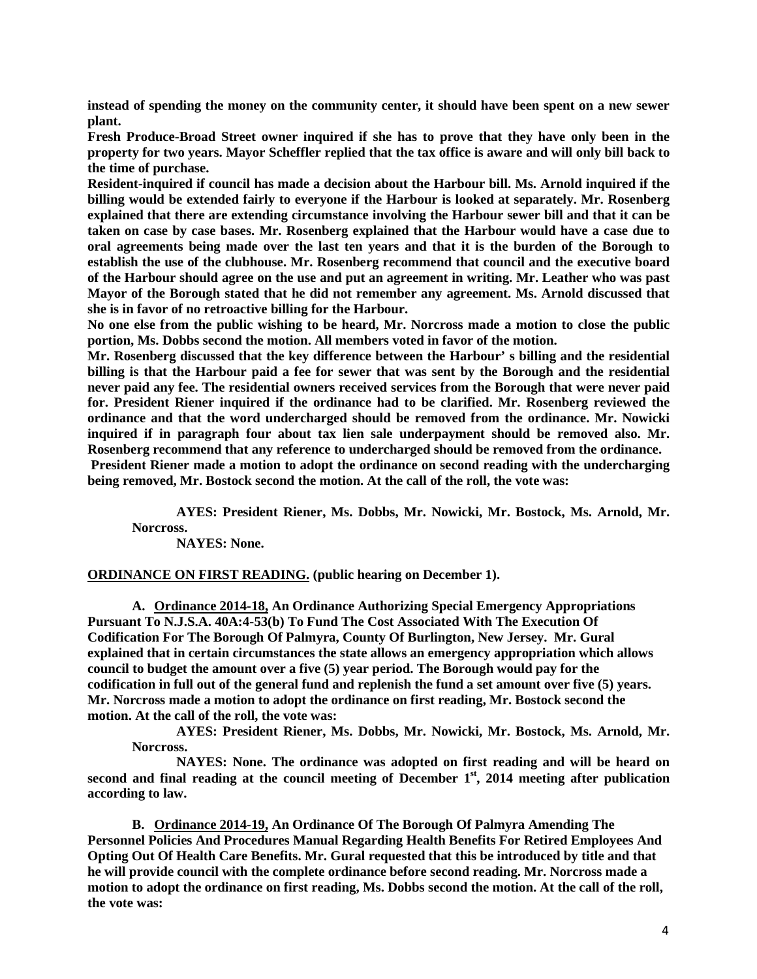**instead of spending the money on the community center, it should have been spent on a new sewer plant.** 

**Fresh Produce-Broad Street owner inquired if she has to prove that they have only been in the property for two years. Mayor Scheffler replied that the tax office is aware and will only bill back to the time of purchase.** 

**Resident-inquired if council has made a decision about the Harbour bill. Ms. Arnold inquired if the billing would be extended fairly to everyone if the Harbour is looked at separately. Mr. Rosenberg explained that there are extending circumstance involving the Harbour sewer bill and that it can be taken on case by case bases. Mr. Rosenberg explained that the Harbour would have a case due to oral agreements being made over the last ten years and that it is the burden of the Borough to establish the use of the clubhouse. Mr. Rosenberg recommend that council and the executive board of the Harbour should agree on the use and put an agreement in writing. Mr. Leather who was past Mayor of the Borough stated that he did not remember any agreement. Ms. Arnold discussed that she is in favor of no retroactive billing for the Harbour.**

**No one else from the public wishing to be heard, Mr. Norcross made a motion to close the public portion, Ms. Dobbs second the motion. All members voted in favor of the motion.** 

**Mr. Rosenberg discussed that the key difference between the Harbour' s billing and the residential billing is that the Harbour paid a fee for sewer that was sent by the Borough and the residential never paid any fee. The residential owners received services from the Borough that were never paid for. President Riener inquired if the ordinance had to be clarified. Mr. Rosenberg reviewed the ordinance and that the word undercharged should be removed from the ordinance. Mr. Nowicki inquired if in paragraph four about tax lien sale underpayment should be removed also. Mr. Rosenberg recommend that any reference to undercharged should be removed from the ordinance. President Riener made a motion to adopt the ordinance on second reading with the undercharging** 

**AYES: President Riener, Ms. Dobbs, Mr. Nowicki, Mr. Bostock, Ms. Arnold, Mr.** 

**Norcross.**

**NAYES: None.**

**ORDINANCE ON FIRST READING. (public hearing on December 1).**

**being removed, Mr. Bostock second the motion. At the call of the roll, the vote was:**

**A. Ordinance 2014-18, An Ordinance Authorizing Special Emergency Appropriations Pursuant To N.J.S.A. 40A:4-53(b) To Fund The Cost Associated With The Execution Of Codification For The Borough Of Palmyra, County Of Burlington, New Jersey. Mr. Gural explained that in certain circumstances the state allows an emergency appropriation which allows council to budget the amount over a five (5) year period. The Borough would pay for the codification in full out of the general fund and replenish the fund a set amount over five (5) years. Mr. Norcross made a motion to adopt the ordinance on first reading, Mr. Bostock second the motion. At the call of the roll, the vote was:**

**AYES: President Riener, Ms. Dobbs, Mr. Nowicki, Mr. Bostock, Ms. Arnold, Mr. Norcross.**

**NAYES: None. The ordinance was adopted on first reading and will be heard on second and final reading at the council meeting of December 1st, 2014 meeting after publication according to law.** 

**B. Ordinance 2014-19, An Ordinance Of The Borough Of Palmyra Amending The Personnel Policies And Procedures Manual Regarding Health Benefits For Retired Employees And Opting Out Of Health Care Benefits. Mr. Gural requested that this be introduced by title and that he will provide council with the complete ordinance before second reading. Mr. Norcross made a motion to adopt the ordinance on first reading, Ms. Dobbs second the motion. At the call of the roll, the vote was:**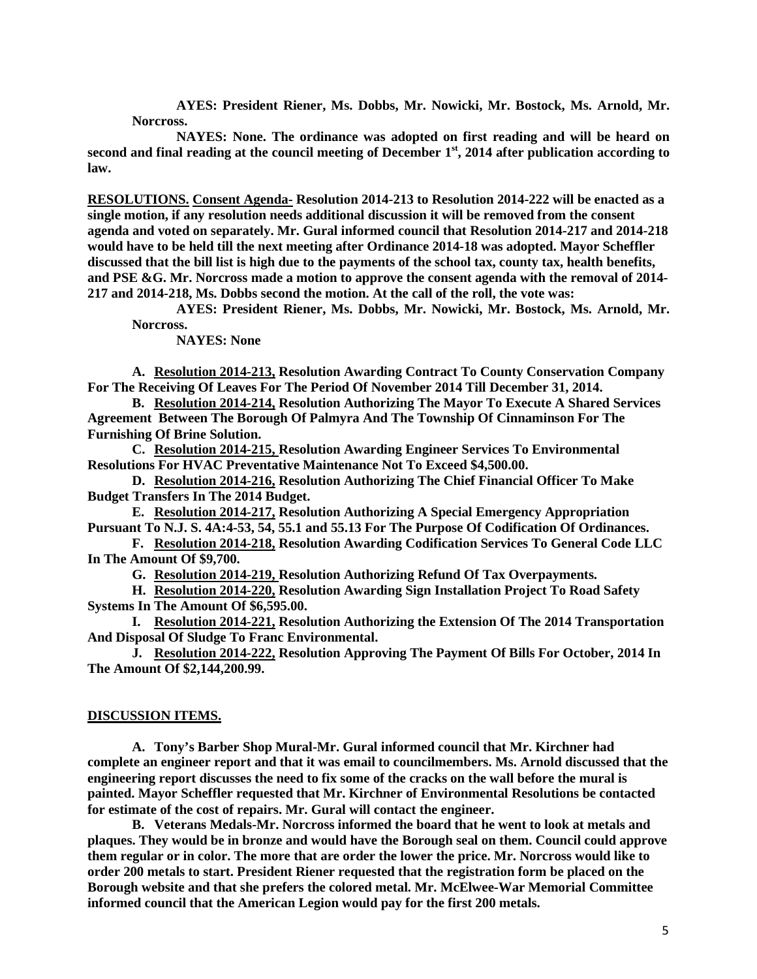**AYES: President Riener, Ms. Dobbs, Mr. Nowicki, Mr. Bostock, Ms. Arnold, Mr. Norcross.**

**NAYES: None. The ordinance was adopted on first reading and will be heard on second and final reading at the council meeting of December 1st, 2014 after publication according to law.** 

**RESOLUTIONS. Consent Agenda- Resolution 2014-213 to Resolution 2014-222 will be enacted as a single motion, if any resolution needs additional discussion it will be removed from the consent agenda and voted on separately. Mr. Gural informed council that Resolution 2014-217 and 2014-218 would have to be held till the next meeting after Ordinance 2014-18 was adopted. Mayor Scheffler discussed that the bill list is high due to the payments of the school tax, county tax, health benefits, and PSE &G. Mr. Norcross made a motion to approve the consent agenda with the removal of 2014- 217 and 2014-218, Ms. Dobbs second the motion. At the call of the roll, the vote was:**

**AYES: President Riener, Ms. Dobbs, Mr. Nowicki, Mr. Bostock, Ms. Arnold, Mr. Norcross.**

**NAYES: None**

**A. Resolution 2014-213, Resolution Awarding Contract To County Conservation Company For The Receiving Of Leaves For The Period Of November 2014 Till December 31, 2014.**

**B. Resolution 2014-214, Resolution Authorizing The Mayor To Execute A Shared Services Agreement Between The Borough Of Palmyra And The Township Of Cinnaminson For The Furnishing Of Brine Solution.** 

**C. Resolution 2014-215, Resolution Awarding Engineer Services To Environmental Resolutions For HVAC Preventative Maintenance Not To Exceed \$4,500.00.**

**D. Resolution 2014-216, Resolution Authorizing The Chief Financial Officer To Make Budget Transfers In The 2014 Budget.** 

**E. Resolution 2014-217, Resolution Authorizing A Special Emergency Appropriation Pursuant To N.J. S. 4A:4-53, 54, 55.1 and 55.13 For The Purpose Of Codification Of Ordinances.** 

**F. Resolution 2014-218, Resolution Awarding Codification Services To General Code LLC In The Amount Of \$9,700.** 

**G. Resolution 2014-219, Resolution Authorizing Refund Of Tax Overpayments.**

**H. Resolution 2014-220, Resolution Awarding Sign Installation Project To Road Safety Systems In The Amount Of \$6,595.00.**

**I. Resolution 2014-221, Resolution Authorizing the Extension Of The 2014 Transportation And Disposal Of Sludge To Franc Environmental.**

**J. Resolution 2014-222, Resolution Approving The Payment Of Bills For October, 2014 In The Amount Of \$2,144,200.99.**

#### **DISCUSSION ITEMS.**

**A. Tony's Barber Shop Mural-Mr. Gural informed council that Mr. Kirchner had complete an engineer report and that it was email to councilmembers. Ms. Arnold discussed that the engineering report discusses the need to fix some of the cracks on the wall before the mural is painted. Mayor Scheffler requested that Mr. Kirchner of Environmental Resolutions be contacted for estimate of the cost of repairs. Mr. Gural will contact the engineer.** 

**B. Veterans Medals-Mr. Norcross informed the board that he went to look at metals and plaques. They would be in bronze and would have the Borough seal on them. Council could approve them regular or in color. The more that are order the lower the price. Mr. Norcross would like to order 200 metals to start. President Riener requested that the registration form be placed on the Borough website and that she prefers the colored metal. Mr. McElwee-War Memorial Committee informed council that the American Legion would pay for the first 200 metals.**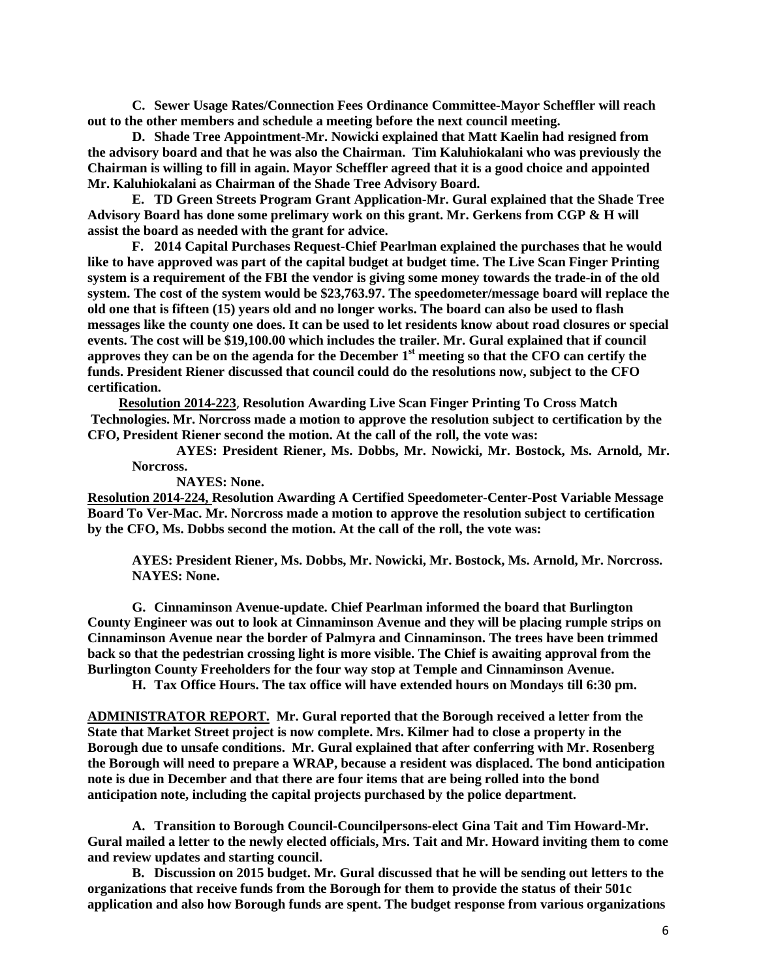**C. Sewer Usage Rates/Connection Fees Ordinance Committee-Mayor Scheffler will reach out to the other members and schedule a meeting before the next council meeting.** 

**D. Shade Tree Appointment-Mr. Nowicki explained that Matt Kaelin had resigned from the advisory board and that he was also the Chairman. Tim Kaluhiokalani who was previously the Chairman is willing to fill in again. Mayor Scheffler agreed that it is a good choice and appointed Mr. Kaluhiokalani as Chairman of the Shade Tree Advisory Board.** 

**E. TD Green Streets Program Grant Application-Mr. Gural explained that the Shade Tree Advisory Board has done some prelimary work on this grant. Mr. Gerkens from CGP & H will assist the board as needed with the grant for advice.** 

**F. 2014 Capital Purchases Request-Chief Pearlman explained the purchases that he would like to have approved was part of the capital budget at budget time. The Live Scan Finger Printing system is a requirement of the FBI the vendor is giving some money towards the trade-in of the old system. The cost of the system would be \$23,763.97. The speedometer/message board will replace the old one that is fifteen (15) years old and no longer works. The board can also be used to flash messages like the county one does. It can be used to let residents know about road closures or special events. The cost will be \$19,100.00 which includes the trailer. Mr. Gural explained that if council approves they can be on the agenda for the December 1st meeting so that the CFO can certify the funds. President Riener discussed that council could do the resolutions now, subject to the CFO certification.** 

**Resolution 2014-223**, **Resolution Awarding Live Scan Finger Printing To Cross Match Technologies. Mr. Norcross made a motion to approve the resolution subject to certification by the CFO, President Riener second the motion. At the call of the roll, the vote was:**

**AYES: President Riener, Ms. Dobbs, Mr. Nowicki, Mr. Bostock, Ms. Arnold, Mr. Norcross.**

**NAYES: None.**

**Resolution 2014-224, Resolution Awarding A Certified Speedometer-Center-Post Variable Message Board To Ver-Mac. Mr. Norcross made a motion to approve the resolution subject to certification by the CFO, Ms. Dobbs second the motion. At the call of the roll, the vote was:**

**AYES: President Riener, Ms. Dobbs, Mr. Nowicki, Mr. Bostock, Ms. Arnold, Mr. Norcross. NAYES: None.**

**G. Cinnaminson Avenue-update. Chief Pearlman informed the board that Burlington County Engineer was out to look at Cinnaminson Avenue and they will be placing rumple strips on Cinnaminson Avenue near the border of Palmyra and Cinnaminson. The trees have been trimmed back so that the pedestrian crossing light is more visible. The Chief is awaiting approval from the Burlington County Freeholders for the four way stop at Temple and Cinnaminson Avenue.** 

**H. Tax Office Hours. The tax office will have extended hours on Mondays till 6:30 pm.**

**ADMINISTRATOR REPORT. Mr. Gural reported that the Borough received a letter from the State that Market Street project is now complete. Mrs. Kilmer had to close a property in the Borough due to unsafe conditions. Mr. Gural explained that after conferring with Mr. Rosenberg the Borough will need to prepare a WRAP, because a resident was displaced. The bond anticipation note is due in December and that there are four items that are being rolled into the bond anticipation note, including the capital projects purchased by the police department.** 

**A. Transition to Borough Council-Councilpersons-elect Gina Tait and Tim Howard-Mr. Gural mailed a letter to the newly elected officials, Mrs. Tait and Mr. Howard inviting them to come and review updates and starting council.** 

**B. Discussion on 2015 budget. Mr. Gural discussed that he will be sending out letters to the organizations that receive funds from the Borough for them to provide the status of their 501c application and also how Borough funds are spent. The budget response from various organizations**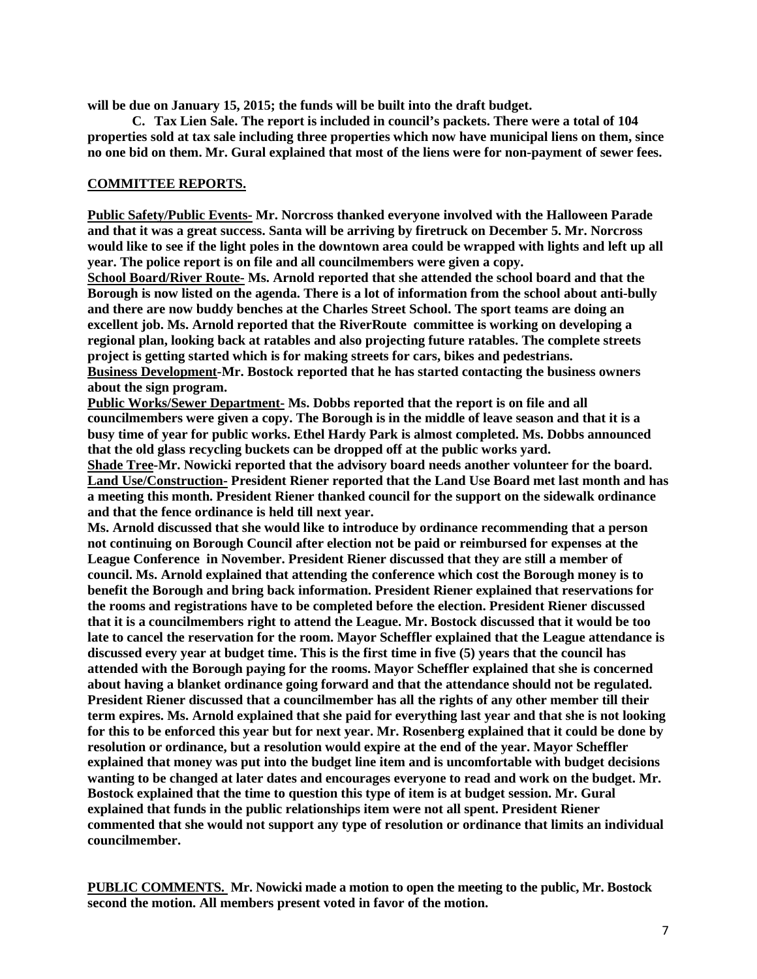**will be due on January 15, 2015; the funds will be built into the draft budget.** 

**C. Tax Lien Sale. The report is included in council's packets. There were a total of 104 properties sold at tax sale including three properties which now have municipal liens on them, since no one bid on them. Mr. Gural explained that most of the liens were for non-payment of sewer fees.** 

## **COMMITTEE REPORTS.**

**Public Safety/Public Events- Mr. Norcross thanked everyone involved with the Halloween Parade and that it was a great success. Santa will be arriving by firetruck on December 5. Mr. Norcross would like to see if the light poles in the downtown area could be wrapped with lights and left up all year. The police report is on file and all councilmembers were given a copy.** 

**School Board/River Route- Ms. Arnold reported that she attended the school board and that the Borough is now listed on the agenda. There is a lot of information from the school about anti-bully and there are now buddy benches at the Charles Street School. The sport teams are doing an excellent job. Ms. Arnold reported that the RiverRoute committee is working on developing a regional plan, looking back at ratables and also projecting future ratables. The complete streets project is getting started which is for making streets for cars, bikes and pedestrians. Business Development-Mr. Bostock reported that he has started contacting the business owners** 

**about the sign program.** 

**Public Works/Sewer Department- Ms. Dobbs reported that the report is on file and all councilmembers were given a copy. The Borough is in the middle of leave season and that it is a busy time of year for public works. Ethel Hardy Park is almost completed. Ms. Dobbs announced that the old glass recycling buckets can be dropped off at the public works yard.** 

**Shade Tree-Mr. Nowicki reported that the advisory board needs another volunteer for the board. Land Use/Construction- President Riener reported that the Land Use Board met last month and has a meeting this month. President Riener thanked council for the support on the sidewalk ordinance and that the fence ordinance is held till next year.** 

**Ms. Arnold discussed that she would like to introduce by ordinance recommending that a person not continuing on Borough Council after election not be paid or reimbursed for expenses at the League Conference in November. President Riener discussed that they are still a member of council. Ms. Arnold explained that attending the conference which cost the Borough money is to benefit the Borough and bring back information. President Riener explained that reservations for the rooms and registrations have to be completed before the election. President Riener discussed that it is a councilmembers right to attend the League. Mr. Bostock discussed that it would be too late to cancel the reservation for the room. Mayor Scheffler explained that the League attendance is discussed every year at budget time. This is the first time in five (5) years that the council has attended with the Borough paying for the rooms. Mayor Scheffler explained that she is concerned about having a blanket ordinance going forward and that the attendance should not be regulated. President Riener discussed that a councilmember has all the rights of any other member till their term expires. Ms. Arnold explained that she paid for everything last year and that she is not looking for this to be enforced this year but for next year. Mr. Rosenberg explained that it could be done by resolution or ordinance, but a resolution would expire at the end of the year. Mayor Scheffler explained that money was put into the budget line item and is uncomfortable with budget decisions wanting to be changed at later dates and encourages everyone to read and work on the budget. Mr. Bostock explained that the time to question this type of item is at budget session. Mr. Gural explained that funds in the public relationships item were not all spent. President Riener commented that she would not support any type of resolution or ordinance that limits an individual councilmember.** 

**PUBLIC COMMENTS. Mr. Nowicki made a motion to open the meeting to the public, Mr. Bostock second the motion. All members present voted in favor of the motion.**